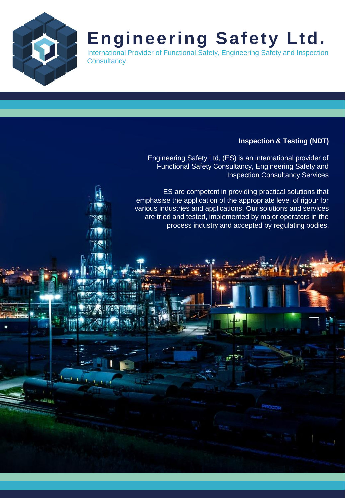

# **Engineering Safety Ltd.**

International Provider of Functional Safety, Engineering Safety and Inspection **Consultancy** 

## **Inspection & Testing (NDT)**

Engineering Safety Ltd, (ES) is an international provider of Functional Safety Consultancy, Engineering Safety and Inspection Consultancy Services

ES are competent in providing practical solutions that emphasise the application of the appropriate level of rigour for various industries and applications. Our solutions and services are tried and tested, implemented by major operators in the process industry and accepted by regulating bodies.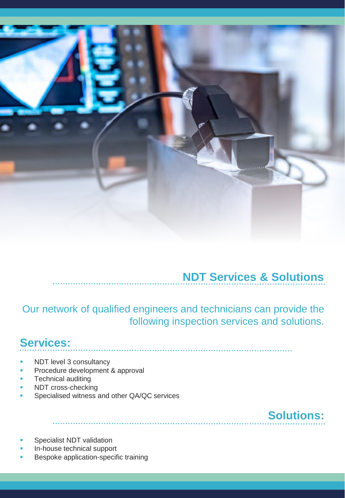

# **NDT Services & Solutions**

Our network of qualified engineers and technicians can provide the following inspection services and solutions.

# **Services:**

- NDT level 3 consultancy
- Procedure development & approval
- **Technical auditing**
- NDT cross-checking
- Specialised witness and other QA/QC services

**Solutions:**

- Specialist NDT validation
- In-house technical support
- Bespoke application-specific training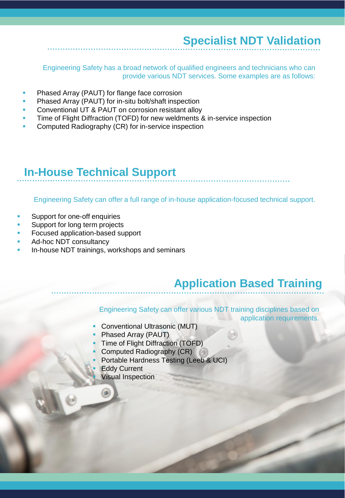# **Specialist NDT Validation**

Engineering Safety has a broad network of qualified engineers and technicians who can provide various NDT services. Some examples are as follows:

- Phased Array (PAUT) for flange face corrosion
- Phased Array (PAUT) for in-situ bolt/shaft inspection
- Conventional UT & PAUT on corrosion resistant alloy
- Time of Flight Diffraction (TOFD) for new weldments & in-service inspection
- Computed Radiography (CR) for in-service inspection

# **In-House Technical Support**

Engineering Safety can offer a full range of in-house application-focused technical support.

- Support for one-off enquiries
- Support for long term projects
- Focused application-based support
- Ad-hoc NDT consultancy
- In-house NDT trainings, workshops and seminars

## **Application Based Training**

Engineering Safety can offer various NDT training disciplines based on

- application requirements.
- **Conventional Ultrasonic (MUT)**
- Phased Array (PAUT)
- Time of Flight Diffraction (TOFD)
- Computed Radiography (CR)
- Portable Hardness Testing (Leeb & UCI)
- **Eddy Current** 
	- **Visual Inspection**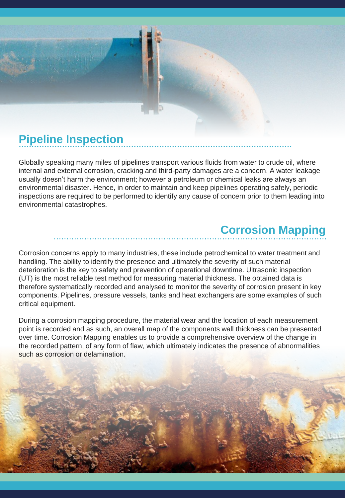

# **Pipeline Inspection**

Globally speaking many miles of pipelines transport various fluids from water to crude oil, where internal and external corrosion, cracking and third-party damages are a concern. A water leakage usually doesn't harm the environment; however a petroleum or chemical leaks are always an environmental disaster. Hence, in order to maintain and keep pipelines operating safely, periodic inspections are required to be performed to identify any cause of concern prior to them leading into environmental catastrophes.

# **Corrosion Mapping**

Corrosion concerns apply to many industries, these include petrochemical to water treatment and handling. The ability to identify the presence and ultimately the severity of such material deterioration is the key to safety and prevention of operational downtime. Ultrasonic inspection (UT) is the most reliable test method for measuring material thickness. The obtained data is therefore systematically recorded and analysed to monitor the severity of corrosion present in key components. Pipelines, pressure vessels, tanks and heat exchangers are some examples of such critical equipment.

During a corrosion mapping procedure, the material wear and the location of each measurement point is recorded and as such, an overall map of the components wall thickness can be presented over time. Corrosion Mapping enables us to provide a comprehensive overview of the change in the recorded pattern, of any form of flaw, which ultimately indicates the presence of abnormalities such as corrosion or delamination.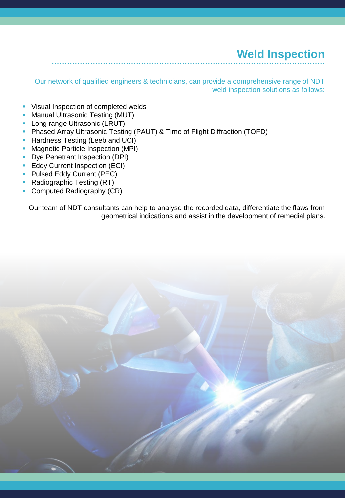# **Weld Inspection**

Our network of qualified engineers & technicians, can provide a comprehensive range of NDT weld inspection solutions as follows:

- **EXECTE Visual Inspection of completed welds**
- **Manual Ultrasonic Testing (MUT)**
- **Long range Ultrasonic (LRUT)**
- **Phased Array Ultrasonic Testing (PAUT) & Time of Flight Diffraction (TOFD)**
- **Hardness Testing (Leeb and UCI)**
- **Magnetic Particle Inspection (MPI)**
- **Dye Penetrant Inspection (DPI)**
- **Eddy Current Inspection (ECI)**
- **Pulsed Eddy Current (PEC)**
- Radiographic Testing (RT)
- **Computed Radiography (CR)**

Our team of NDT consultants can help to analyse the recorded data, differentiate the flaws from geometrical indications and assist in the development of remedial plans.